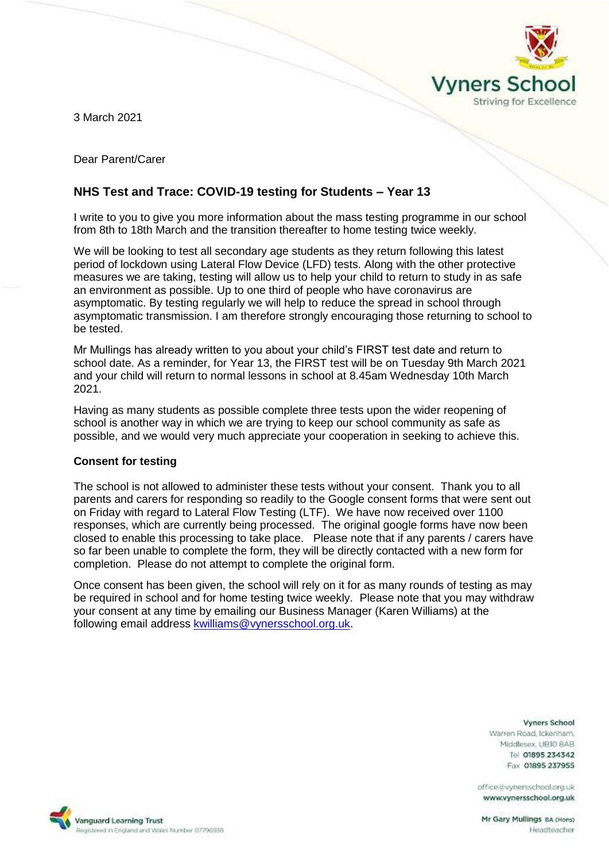

3 March 2021

Dear Parent/Carer

# **NHS Test and Trace: COVID-19 testing for Students – Year 13**

I write to you to give you more information about the mass testing programme in our school from 8th to 18th March and the transition thereafter to home testing twice weekly.

We will be looking to test all secondary age students as they return following this latest period of lockdown using Lateral Flow Device (LFD) tests. Along with the other protective measures we are taking, testing will allow us to help your child to return to study in as safe an environment as possible. Up to one third of people who have coronavirus are asymptomatic. By testing regularly we will help to reduce the spread in school through asymptomatic transmission. I am therefore strongly encouraging those returning to school to be tested.

Mr Mullings has already written to you about your child's FIRST test date and return to school date. As a reminder, for Year 13, the FIRST test will be on Tuesday 9th March 2021 and your child will return to normal lessons in school at 8.45am Wednesday 10th March 2021.

Having as many students as possible complete three tests upon the wider reopening of school is another way in which we are trying to keep our school community as safe as possible, and we would very much appreciate your cooperation in seeking to achieve this.

# **Consent for testing**

The school is not allowed to administer these tests without your consent. Thank you to all parents and carers for responding so readily to the Google consent forms that were sent out on Friday with regard to Lateral Flow Testing (LTF). We have now received over 1100 responses, which are currently being processed. The original google forms have now been closed to enable this processing to take place. Please note that if any parents / carers have so far been unable to complete the form, they will be directly contacted with a new form for completion. Please do not attempt to complete the original form.

Once consent has been given, the school will rely on it for as many rounds of testing as may be required in school and for home testing twice weekly. Please note that you may withdraw your consent at any time by emailing our Business Manager (Karen Williams) at the following email address [kwilliams@vynersschool.org.uk.](mailto:kwilliams@vynersschool.org.uk)

#### **Vyners School**

Warren Road, Ickenham. Middlesex UBIO 8AB Tel 01895 234342 Fax 01895 237955

office@vynersschool.org.uk www.vynersschool.org.uk

Mr Gary Mullings BA (Hons) Headteacher

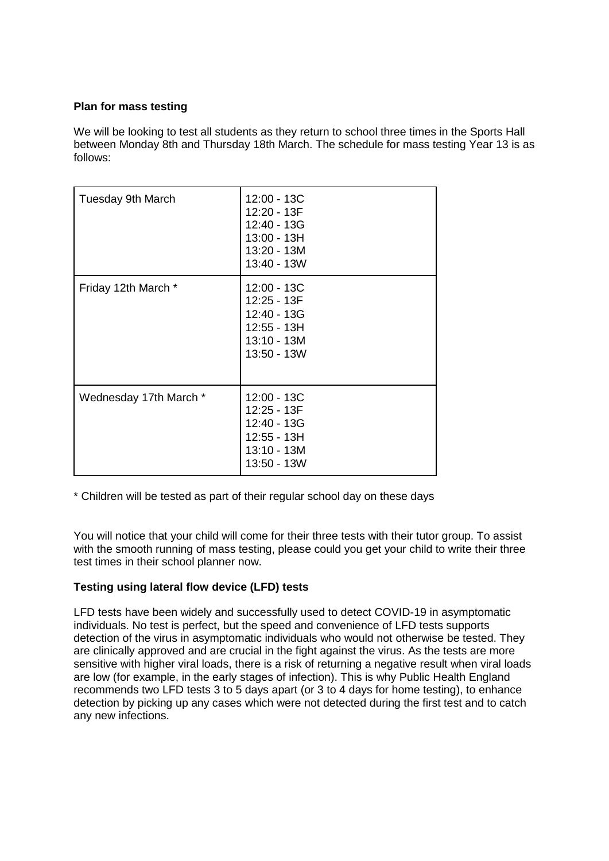# **Plan for mass testing**

We will be looking to test all students as they return to school three times in the Sports Hall between Monday 8th and Thursday 18th March. The schedule for mass testing Year 13 is as follows:

| Tuesday 9th March      | 12:00 - 13C<br>12:20 - 13F<br>12:40 - 13G<br>13:00 - 13H<br>13:20 - 13M<br>13:40 - 13W |
|------------------------|----------------------------------------------------------------------------------------|
| Friday 12th March *    | 12:00 - 13C<br>12:25 - 13F<br>12:40 - 13G<br>12:55 - 13H<br>13:10 - 13M<br>13:50 - 13W |
| Wednesday 17th March * | 12:00 - 13C<br>12:25 - 13F<br>12:40 - 13G<br>12:55 - 13H<br>13:10 - 13M<br>13:50 - 13W |

\* Children will be tested as part of their regular school day on these days

You will notice that your child will come for their three tests with their tutor group. To assist with the smooth running of mass testing, please could you get your child to write their three test times in their school planner now.

# **Testing using lateral flow device (LFD) tests**

LFD tests have been widely and successfully used to detect COVID-19 in asymptomatic individuals. No test is perfect, but the speed and convenience of LFD tests supports detection of the virus in asymptomatic individuals who would not otherwise be tested. They are clinically approved and are crucial in the fight against the virus. As the tests are more sensitive with higher viral loads, there is a risk of returning a negative result when viral loads are low (for example, in the early stages of infection). This is why Public Health England recommends two LFD tests 3 to 5 days apart (or 3 to 4 days for home testing), to enhance detection by picking up any cases which were not detected during the first test and to catch any new infections.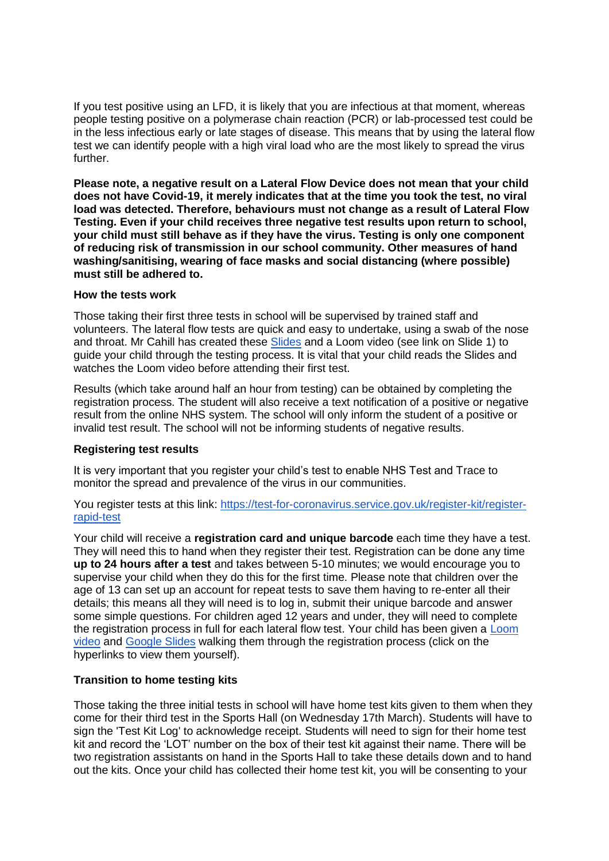If you test positive using an LFD, it is likely that you are infectious at that moment, whereas people testing positive on a polymerase chain reaction (PCR) or lab-processed test could be in the less infectious early or late stages of disease. This means that by using the lateral flow test we can identify people with a high viral load who are the most likely to spread the virus further.

**Please note, a negative result on a Lateral Flow Device does not mean that your child does not have Covid-19, it merely indicates that at the time you took the test, no viral load was detected. Therefore, behaviours must not change as a result of Lateral Flow Testing. Even if your child receives three negative test results upon return to school, your child must still behave as if they have the virus. Testing is only one component of reducing risk of transmission in our school community. Other measures of hand washing/sanitising, wearing of face masks and social distancing (where possible) must still be adhered to.**

### **How the tests work**

Those taking their first three tests in school will be supervised by trained staff and volunteers. The lateral flow tests are quick and easy to undertake, using a swab of the nose and throat. Mr Cahill has created these [Slides](https://docs.google.com/presentation/d/1gz1t-rqJkTcXn6FmRusH9uKAaRId2x0yOQJAcbk5ymU/edit?usp=sharing) and a Loom video (see link on Slide 1) to guide your child through the testing process. It is vital that your child reads the Slides and watches the Loom video before attending their first test.

Results (which take around half an hour from testing) can be obtained by completing the registration process. The student will also receive a text notification of a positive or negative result from the online NHS system. The school will only inform the student of a positive or invalid test result. The school will not be informing students of negative results.

# **Registering test results**

It is very important that you register your child's test to enable NHS Test and Trace to monitor the spread and prevalence of the virus in our communities.

You register tests at this link: [https://test-for-coronavirus.service.gov.uk/register-kit/register](https://test-for-coronavirus.service.gov.uk/register-kit/register-rapid-test)[rapid-test](https://test-for-coronavirus.service.gov.uk/register-kit/register-rapid-test)

Your child will receive a **registration card and unique barcode** each time they have a test. They will need this to hand when they register their test. Registration can be done any time **up to 24 hours after a test** and takes between 5-10 minutes; we would encourage you to supervise your child when they do this for the first time. Please note that children over the age of 13 can set up an account for repeat tests to save them having to re-enter all their details; this means all they will need is to log in, submit their unique barcode and answer some simple questions. For children aged 12 years and under, they will need to complete the registration process in full for each lateral flow test. Your child has been given a [Loom](https://www.loom.com/share/aea42cd2f9124e51b03fe8972f9a3583)  [video](https://www.loom.com/share/aea42cd2f9124e51b03fe8972f9a3583) and [Google Slides](https://docs.google.com/presentation/d/11chsOQ94u8ECZV-K7yZ9nf1DvangLK9Y0KLWEpb9z-A/edit?usp=sharing) walking them through the registration process (click on the hyperlinks to view them yourself).

# **Transition to home testing kits**

Those taking the three initial tests in school will have home test kits given to them when they come for their third test in the Sports Hall (on Wednesday 17th March). Students will have to sign the 'Test Kit Log' to acknowledge receipt. Students will need to sign for their home test kit and record the 'LOT' number on the box of their test kit against their name. There will be two registration assistants on hand in the Sports Hall to take these details down and to hand out the kits. Once your child has collected their home test kit, you will be consenting to your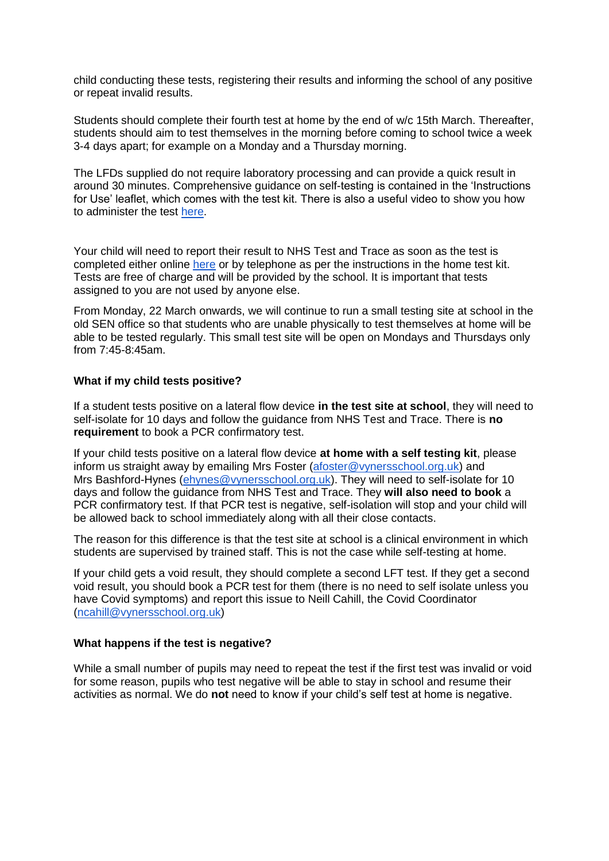child conducting these tests, registering their results and informing the school of any positive or repeat invalid results.

Students should complete their fourth test at home by the end of w/c 15th March. Thereafter, students should aim to test themselves in the morning before coming to school twice a week 3-4 days apart; for example on a Monday and a Thursday morning.

The LFDs supplied do not require laboratory processing and can provide a quick result in around 30 minutes. Comprehensive guidance on self-testing is contained in the 'Instructions for Use' leaflet, which comes with the test kit. There is also a useful video to show you how to administer the test [here.](https://www.youtube.com/playlist?list=PLvaBZskxS7tzQYlVg7lwH5uxAD9UrSzGJ)

Your child will need to report their result to NHS Test and Trace as soon as the test is completed either online [here](https://www.gov.uk/report-covid19-result) or by telephone as per the instructions in the home test kit. Tests are free of charge and will be provided by the school. It is important that tests assigned to you are not used by anyone else.

From Monday, 22 March onwards, we will continue to run a small testing site at school in the old SEN office so that students who are unable physically to test themselves at home will be able to be tested regularly. This small test site will be open on Mondays and Thursdays only from 7:45-8:45am.

### **What if my child tests positive?**

If a student tests positive on a lateral flow device **in the test site at school**, they will need to self-isolate for 10 days and follow the guidance from NHS Test and Trace. There is **no requirement** to book a PCR confirmatory test.

If your child tests positive on a lateral flow device **at home with a self testing kit**, please inform us straight away by emailing Mrs Foster [\(afoster@vynersschool.org.uk\)](mailto:afoster@vynersschool.org.uk) and Mrs Bashford-Hynes [\(ehynes@vynersschool.org.uk\)](mailto:ehynes@vynersschool.org.uk). They will need to self-isolate for 10 days and follow the guidance from NHS Test and Trace. They **will also need to book** a PCR confirmatory test. If that PCR test is negative, self-isolation will stop and your child will be allowed back to school immediately along with all their close contacts.

The reason for this difference is that the test site at school is a clinical environment in which students are supervised by trained staff. This is not the case while self-testing at home.

If your child gets a void result, they should complete a second LFT test. If they get a second void result, you should book a PCR test for them (there is no need to self isolate unless you have Covid symptoms) and report this issue to Neill Cahill, the Covid Coordinator [\(ncahill@vynersschool.org.uk\)](mailto:ncahill@vynersschool.org.uk)

#### **What happens if the test is negative?**

While a small number of pupils may need to repeat the test if the first test was invalid or void for some reason, pupils who test negative will be able to stay in school and resume their activities as normal. We do **not** need to know if your child's self test at home is negative.